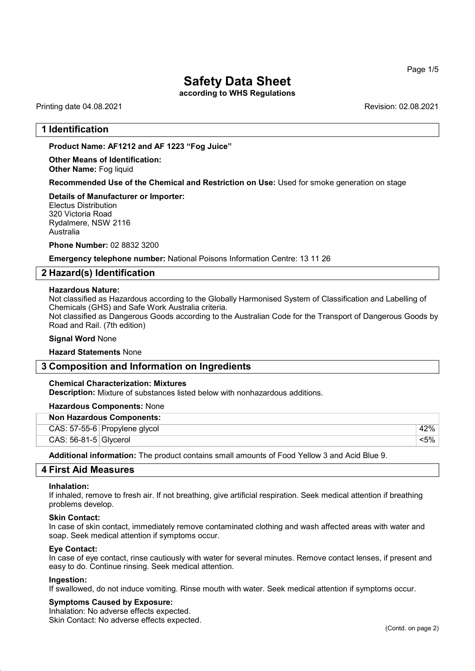Page 1/5

## Safety Data Sheet

according to WHS Regulations

Printing date 04.08.2021 Revision: 02.08.2021

## 1 Identification

Product Name: AF1212 and AF 1223 "Fog Juice"

Other Means of Identification: Other Name: Fog liquid

Recommended Use of the Chemical and Restriction on Use: Used for smoke generation on stage

## Details of Manufacturer or Importer:

Electus Distribution 320 Victoria Road Rydalmere, NSW 2116 Australia

Phone Number: 02 8832 3200

Emergency telephone number: National Poisons Information Centre: 13 11 26

## 2 Hazard(s) Identification

#### Hazardous Nature:

Not classified as Hazardous according to the Globally Harmonised System of Classification and Labelling of Chemicals (GHS) and Safe Work Australia criteria.

Not classified as Dangerous Goods according to the Australian Code for the Transport of Dangerous Goods by Road and Rail. (7th edition)

#### Signal Word None

Hazard Statements None

## 3 Composition and Information on Ingredients

## Chemical Characterization: Mixtures

Description: Mixture of substances listed below with nonhazardous additions.

## Hazardous Components: None

| <b>Non Hazardous Components:</b> |       |  |  |
|----------------------------------|-------|--|--|
| CAS: 57-55-6 Propylene glycol    | 42%   |  |  |
| $CAS: 56-81-5$ Glycerol          | <5% ⊹ |  |  |

Additional information: The product contains small amounts of Food Yellow 3 and Acid Blue 9.

## 4 First Aid Measures

#### Inhalation:

If inhaled, remove to fresh air. If not breathing, give artificial respiration. Seek medical attention if breathing problems develop.

#### Skin Contact:

In case of skin contact, immediately remove contaminated clothing and wash affected areas with water and soap. Seek medical attention if symptoms occur.

#### Eye Contact:

In case of eye contact, rinse cautiously with water for several minutes. Remove contact lenses, if present and easy to do. Continue rinsing. Seek medical attention.

## Ingestion:

52.0

If swallowed, do not induce vomiting. Rinse mouth with water. Seek medical attention if symptoms occur.

## Symptoms Caused by Exposure:

Inhalation: No adverse effects expected. Skin Contact: No adverse effects expected.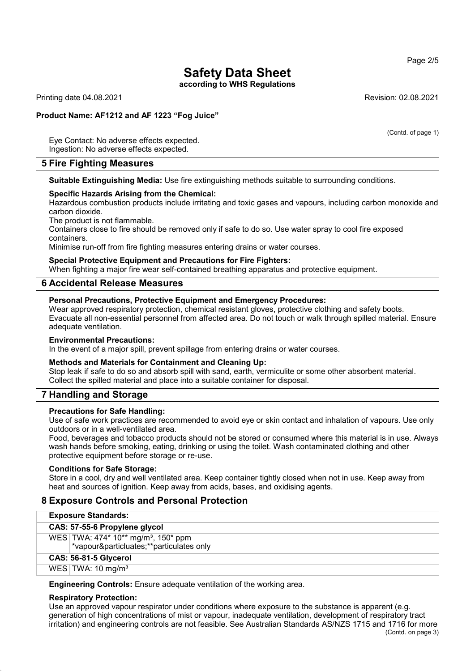according to WHS Regulations

Printing date 04.08.2021 Revision: 02.08.2021

Product Name: AF1212 and AF 1223 "Fog Juice"

(Contd. of page 1)

Eye Contact: No adverse effects expected. Ingestion: No adverse effects expected.

## 5 Fire Fighting Measures

Suitable Extinguishing Media: Use fire extinguishing methods suitable to surrounding conditions.

## Specific Hazards Arising from the Chemical:

Hazardous combustion products include irritating and toxic gases and vapours, including carbon monoxide and carbon dioxide.

The product is not flammable.

Containers close to fire should be removed only if safe to do so. Use water spray to cool fire exposed containers.

Minimise run-off from fire fighting measures entering drains or water courses.

## Special Protective Equipment and Precautions for Fire Fighters:

When fighting a major fire wear self-contained breathing apparatus and protective equipment.

## 6 Accidental Release Measures

## Personal Precautions, Protective Equipment and Emergency Procedures:

Wear approved respiratory protection, chemical resistant gloves, protective clothing and safety boots. Evacuate all non-essential personnel from affected area. Do not touch or walk through spilled material. Ensure adequate ventilation.

## Environmental Precautions:

In the event of a major spill, prevent spillage from entering drains or water courses.

## Methods and Materials for Containment and Cleaning Up:

Stop leak if safe to do so and absorb spill with sand, earth, vermiculite or some other absorbent material. Collect the spilled material and place into a suitable container for disposal.

## 7 Handling and Storage

## Precautions for Safe Handling:

Use of safe work practices are recommended to avoid eye or skin contact and inhalation of vapours. Use only outdoors or in a well-ventilated area.

Food, beverages and tobacco products should not be stored or consumed where this material is in use. Always wash hands before smoking, eating, drinking or using the toilet. Wash contaminated clothing and other protective equipment before storage or re-use.

## Conditions for Safe Storage:

Store in a cool, dry and well ventilated area. Keep container tightly closed when not in use. Keep away from heat and sources of ignition. Keep away from acids, bases, and oxidising agents.

## 8 Exposure Controls and Personal Protection

## Exposure Standards:

CAS: 57-55-6 Propylene glycol

WES TWA: 474\* 10\*\* mg/m<sup>3</sup>, 150\* ppm

\*vapour&particluates;\*\*particulates only

CAS: 56-81-5 Glycerol

WES  $TWA: 10$  mg/m<sup>3</sup>

Engineering Controls: Ensure adequate ventilation of the working area.

## Respiratory Protection:

52.0

Use an approved vapour respirator under conditions where exposure to the substance is apparent (e.g. generation of high concentrations of mist or vapour, inadequate ventilation, development of respiratory tract irritation) and engineering controls are not feasible. See Australian Standards AS/NZS 1715 and 1716 for more

Page 2/5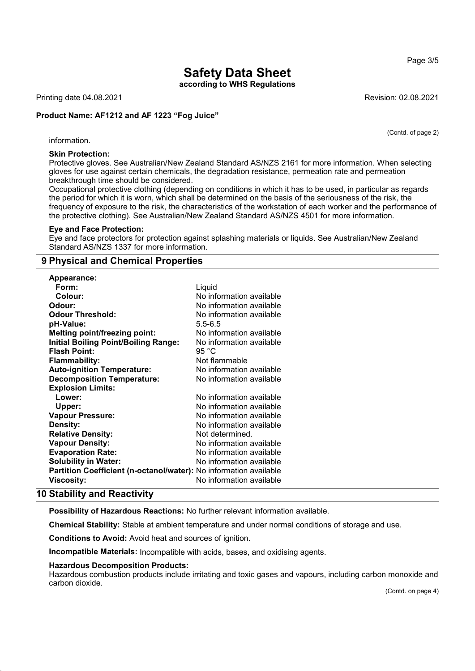according to WHS Regulations

Printing date 04.08.2021 Revision: 02.08.2021

## Product Name: AF1212 and AF 1223 "Fog Juice"

(Contd. of page 2)

Page 3/5

information.

## Skin Protection:

Protective gloves. See Australian/New Zealand Standard AS/NZS 2161 for more information. When selecting gloves for use against certain chemicals, the degradation resistance, permeation rate and permeation breakthrough time should be considered.

Occupational protective clothing (depending on conditions in which it has to be used, in particular as regards the period for which it is worn, which shall be determined on the basis of the seriousness of the risk, the frequency of exposure to the risk, the characteristics of the workstation of each worker and the performance of the protective clothing). See Australian/New Zealand Standard AS/NZS 4501 for more information.

#### Eye and Face Protection:

Eye and face protectors for protection against splashing materials or liquids. See Australian/New Zealand Standard AS/NZS 1337 for more information.

## 9 Physical and Chemical Properties

| <b>Appearance:</b>                                                |                          |
|-------------------------------------------------------------------|--------------------------|
| Form:                                                             | Liquid                   |
| Colour:                                                           | No information available |
| Odour:                                                            | No information available |
| <b>Odour Threshold:</b>                                           | No information available |
| pH-Value:                                                         | $5.5 - 6.5$              |
| <b>Melting point/freezing point:</b>                              | No information available |
| <b>Initial Boiling Point/Boiling Range:</b>                       | No information available |
| <b>Flash Point:</b>                                               | 95 °C                    |
| <b>Flammability:</b>                                              | Not flammable            |
| <b>Auto-ignition Temperature:</b>                                 | No information available |
| <b>Decomposition Temperature:</b>                                 | No information available |
| <b>Explosion Limits:</b>                                          |                          |
| Lower:                                                            | No information available |
| Upper:                                                            | No information available |
| <b>Vapour Pressure:</b>                                           | No information available |
| Density:                                                          | No information available |
| <b>Relative Density:</b>                                          | Not determined.          |
| <b>Vapour Density:</b>                                            | No information available |
| <b>Evaporation Rate:</b>                                          | No information available |
| <b>Solubility in Water:</b>                                       | No information available |
| Partition Coefficient (n-octanol/water): No information available |                          |
| Viscosity:                                                        | No information available |

## 10 Stability and Reactivity

52.0

Possibility of Hazardous Reactions: No further relevant information available.

Chemical Stability: Stable at ambient temperature and under normal conditions of storage and use.

Conditions to Avoid: Avoid heat and sources of ignition.

Incompatible Materials: Incompatible with acids, bases, and oxidising agents.

## Hazardous Decomposition Products:

Hazardous combustion products include irritating and toxic gases and vapours, including carbon monoxide and carbon dioxide.

(Contd. on page 4)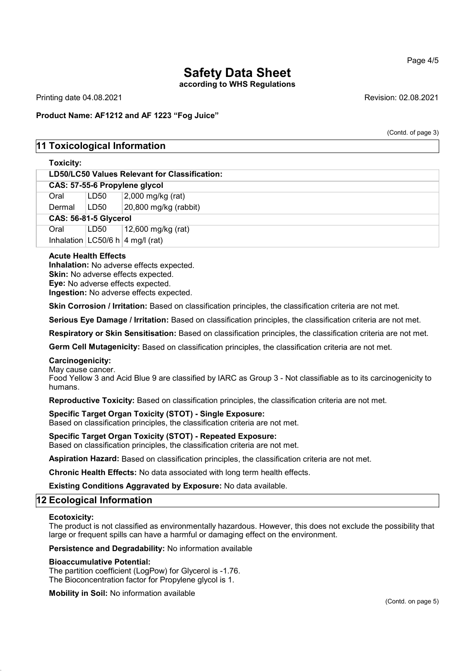according to WHS Regulations

Printing date 04.08.2021 Revision: 02.08.2021

## Product Name: AF1212 and AF 1223 "Fog Juice"

(Contd. of page 3)

## 11 Toxicological Information

## Toxicity:

| LD50/LC50 Values Relevant for Classification: |      |                                      |  |  |
|-----------------------------------------------|------|--------------------------------------|--|--|
| CAS: 57-55-6 Propylene glycol                 |      |                                      |  |  |
| Oral                                          | LD50 | $2,000$ mg/kg (rat)                  |  |  |
| Dermal                                        | LD50 | 20,800 mg/kg (rabbit)                |  |  |
| CAS: 56-81-5 Glycerol                         |      |                                      |  |  |
| Oral                                          | LD50 | $\vert$ 12,600 mg/kg (rat)           |  |  |
|                                               |      | Inhalation $ LC50/6 h $ 4 mg/l (rat) |  |  |

## Acute Health Effects

Inhalation: No adverse effects expected. Skin: No adverse effects expected. Eye: No adverse effects expected. Ingestion: No adverse effects expected.

Skin Corrosion / Irritation: Based on classification principles, the classification criteria are not met.

Serious Eye Damage / Irritation: Based on classification principles, the classification criteria are not met.

Respiratory or Skin Sensitisation: Based on classification principles, the classification criteria are not met.

Germ Cell Mutagenicity: Based on classification principles, the classification criteria are not met.

## Carcinogenicity:

May cause cancer.

Food Yellow 3 and Acid Blue 9 are classified by IARC as Group 3 - Not classifiable as to its carcinogenicity to humans.

Reproductive Toxicity: Based on classification principles, the classification criteria are not met.

## Specific Target Organ Toxicity (STOT) - Single Exposure:

Based on classification principles, the classification criteria are not met.

## Specific Target Organ Toxicity (STOT) - Repeated Exposure:

Based on classification principles, the classification criteria are not met.

Aspiration Hazard: Based on classification principles, the classification criteria are not met.

Chronic Health Effects: No data associated with long term health effects.

Existing Conditions Aggravated by Exposure: No data available.

## 12 Ecological Information

#### Ecotoxicity:

52.0

The product is not classified as environmentally hazardous. However, this does not exclude the possibility that large or frequent spills can have a harmful or damaging effect on the environment.

Persistence and Degradability: No information available

## Bioaccumulative Potential:

The partition coefficient (LogPow) for Glycerol is -1.76. The Bioconcentration factor for Propylene glycol is 1.

Mobility in Soil: No information available